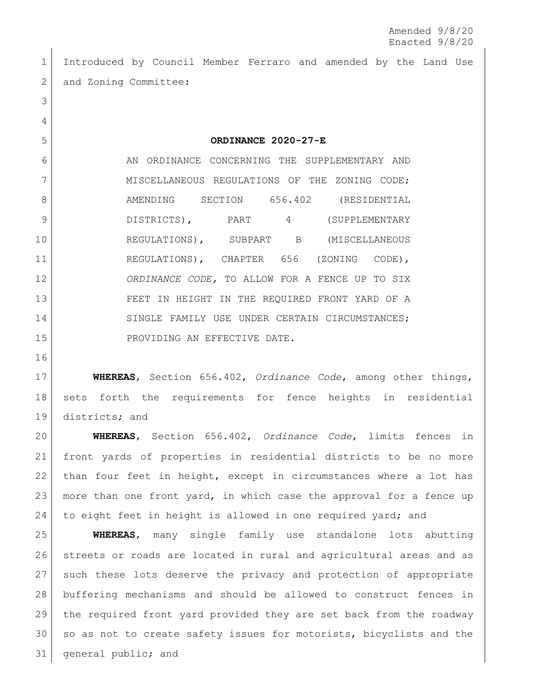Introduced by Council Member Ferraro and amended by the Land Use 2 and Zoning Committee:

**ORDINANCE 2020-27-E**

6 AN ORDINANCE CONCERNING THE SUPPLEMENTARY AND 7 MISCELLANEOUS REGULATIONS OF THE ZONING CODE; 8 AMENDING SECTION 656.402 (RESIDENTIAL 9 DISTRICTS), PART 4 (SUPPLEMENTARY REGULATIONS), SUBPART B (MISCELLANEOUS REGULATIONS), CHAPTER 656 (ZONING CODE), *ORDINANCE CODE,* TO ALLOW FOR A FENCE UP TO SIX FEET IN HEIGHT IN THE REQUIRED FRONT YARD OF A 14 SINGLE FAMILY USE UNDER CERTAIN CIRCUMSTANCES; 15 PROVIDING AN EFFECTIVE DATE.

 **WHEREAS**, Section 656.402, *Ordinance Code*, among other things, sets forth the requirements for fence heights in residential 19 districts; and

 **WHEREAS**, Section 656.402, *Ordinance Code*, limits fences in front yards of properties in residential districts to be no more than four feet in height, except in circumstances where a lot has more than one front yard, in which case the approval for a fence up 24 to eight feet in height is allowed in one required yard; and

 **WHEREAS**, many single family use standalone lots abutting streets or roads are located in rural and agricultural areas and as such these lots deserve the privacy and protection of appropriate buffering mechanisms and should be allowed to construct fences in the required front yard provided they are set back from the roadway 30 so as not to create safety issues for motorists, bicyclists and the general public; and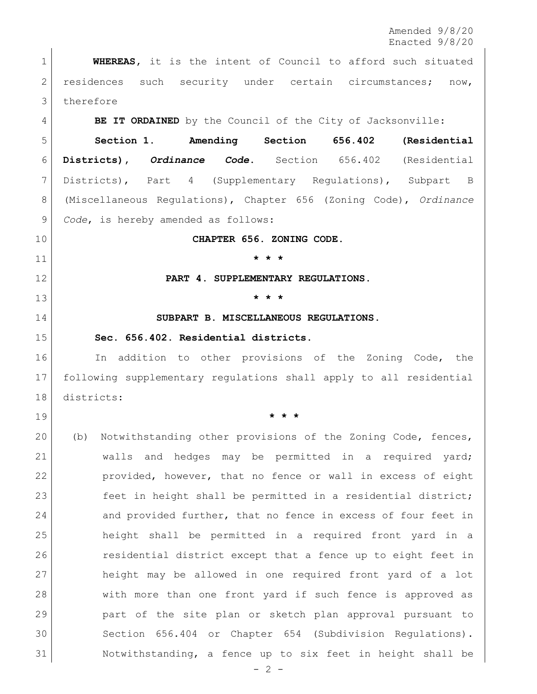Amended 9/8/20 Enacted 9/8/20

 **WHEREAS,** it is the intent of Council to afford such situated residences such security under certain circumstances; now, 3 therefore

**BE IT ORDAINED** by the Council of the City of Jacksonville:

 **Section 1. Amending Section 656.402 (Residential Districts),** *Ordinance Code***.** Section 656.402 (Residential Districts), Part 4 (Supplementary Regulations), Subpart B (Miscellaneous Regulations), Chapter 656 (Zoning Code), *Ordinance Code*, is hereby amended as follows:

**CHAPTER 656. ZONING CODE.**

**\* \* \***

**PART 4. SUPPLEMENTARY REGULATIONS.**

**\* \* \***

**SUBPART B. MISCELLANEOUS REGULATIONS.**

## **Sec. 656.402. Residential districts.**

16 In addition to other provisions of the Zoning Code, the following supplementary regulations shall apply to all residential districts:

**\* \* \***

- (b) Notwithstanding other provisions of the Zoning Code, fences, walls and hedges may be permitted in a required yard; provided, however, that no fence or wall in excess of eight 23 feet in height shall be permitted in a residential district; 24 and provided further, that no fence in excess of four feet in height shall be permitted in a required front yard in a residential district except that a fence up to eight feet in height may be allowed in one required front yard of a lot with more than one front yard if such fence is approved as part of the site plan or sketch plan approval pursuant to [Section 656.404](http://library.municode.com/HTML/12174/level4/ZOSE_CH656ZOCO_PT4SURE_SPBMIRE.html#ZOSE_CH656ZOCO_PT4SURE_SPBMIRE_S656.404REPRSIDEPLRE) or [Chapter 654](http://library.municode.com/HTML/12174/level2/ZOSE_CH654COSURE.html#ZOSE_CH654COSURE) (Subdivision Regulations). Notwithstanding, a fence up to six feet in height shall be
	- $-2 -$